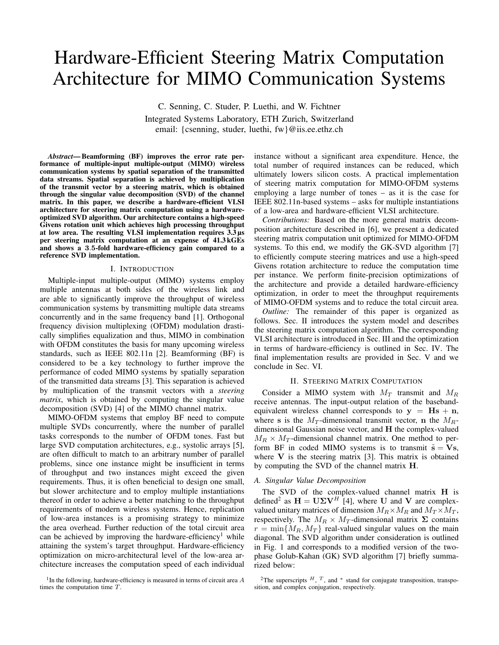# Hardware-Efficient Steering Matrix Computation Architecture for MIMO Communication Systems

C. Senning, C. Studer, P. Luethi, and W. Fichtner

Integrated Systems Laboratory, ETH Zurich, Switzerland email: {csenning, studer, luethi, fw}@iis.ee.ethz.ch

*Abstract*— Beamforming (BF) improves the error rate performance of multiple-input multiple-output (MIMO) wireless communication systems by spatial separation of the transmitted data streams. Spatial separation is achieved by multiplication of the transmit vector by a steering matrix, which is obtained through the singular value decomposition (SVD) of the channel matrix. In this paper, we describe a hardware-efficient VLSI architecture for steering matrix computation using a hardwareoptimized SVD algorithm. Our architecture contains a high-speed Givens rotation unit which achieves high processing throughput at low area. The resulting VLSI implementation requires  $3.\overline{3}$  us per steering matrix computation at an expense of 41.3 kGEs and shows a 3.5-fold hardware-efficiency gain compared to a reference SVD implementation.

#### I. INTRODUCTION

Multiple-input multiple-output (MIMO) systems employ multiple antennas at both sides of the wireless link and are able to significantly improve the throughput of wireless communication systems by transmitting multiple data streams concurrently and in the same frequency band [1]. Orthogonal frequency division multiplexing (OFDM) modulation drastically simplifies equalization and thus, MIMO in combination with OFDM constitutes the basis for many upcoming wireless standards, such as IEEE 802.11n [2]. Beamforming (BF) is considered to be a key technology to further improve the performance of coded MIMO systems by spatially separation of the transmitted data streams [3]. This separation is achieved by multiplication of the transmit vectors with a *steering matrix*, which is obtained by computing the singular value decomposition (SVD) [4] of the MIMO channel matrix.

MIMO-OFDM systems that employ BF need to compute multiple SVDs concurrently, where the number of parallel tasks corresponds to the number of OFDM tones. Fast but large SVD computation architectures, e.g., systolic arrays [5], are often difficult to match to an arbitrary number of parallel problems, since one instance might be insufficient in terms of throughput and two instances might exceed the given requirements. Thus, it is often beneficial to design one small, but slower architecture and to employ multiple instantiations thereof in order to achieve a better matching to the throughput requirements of modern wireless systems. Hence, replication of low-area instances is a promising strategy to minimize the area overhead. Further reduction of the total circuit area can be achieved by improving the hardware-efficiency<sup>1</sup> while attaining the system's target throughput. Hardware-efficiency optimization on micro-architectural level of the low-area architecture increases the computation speed of each individual

<sup>1</sup>In the following, hardware-efficiency is measured in terms of circuit area A times the computation time T.

instance without a significant area expenditure. Hence, the total number of required instances can be reduced, which ultimately lowers silicon costs. A practical implementation of steering matrix computation for MIMO-OFDM systems employing a large number of tones – as it is the case for IEEE 802.11n-based systems – asks for multiple instantiations of a low-area and hardware-efficient VLSI architecture.

*Contributions:* Based on the more general matrix decomposition architecture described in [6], we present a dedicated steering matrix computation unit optimized for MIMO-OFDM systems. To this end, we modify the GK-SVD algorithm [7] to efficiently compute steering matrices and use a high-speed Givens rotation architecture to reduce the computation time per instance. We perform finite-precision optimizations of the architecture and provide a detailed hardware-efficiency optimization, in order to meet the throughput requirements of MIMO-OFDM systems and to reduce the total circuit area.

*Outline:* The remainder of this paper is organized as follows. Sec. II introduces the system model and describes the steering matrix computation algorithm. The corresponding VLSI architecture is introduced in Sec. III and the optimization in terms of hardware-efficiency is outlined in Sec. IV. The final implementation results are provided in Sec. V and we conclude in Sec. VI.

# II. STEERING MATRIX COMPUTATION

Consider a MIMO system with  $M_T$  transmit and  $M_R$ receive antennas. The input-output relation of the basebandequivalent wireless channel corresponds to  $y = Hs + n$ , where s is the  $M_T$ -dimensional transmit vector, n the  $M_R$ dimensional Gaussian noise vector, and H the complex-valued  $M_R \times M_T$ -dimensional channel matrix. One method to perform BF in coded MIMO systems is to transmit  $\tilde{s} = Vs$ , where  $V$  is the steering matrix [3]. This matrix is obtained by computing the SVD of the channel matrix H.

#### *A. Singular Value Decomposition*

The SVD of the complex-valued channel matrix H is defined<sup>2</sup> as  $\mathbf{H} = \mathbf{U} \Sigma \mathbf{V}^H$  [4], where U and V are complexvalued unitary matrices of dimension  $M_R \times M_R$  and  $M_T \times M_T$ , respectively. The  $M_R \times M_T$ -dimensional matrix  $\Sigma$  contains  $r = \min\{M_R, M_T\}$  real-valued singular values on the main diagonal. The SVD algorithm under consideration is outlined in Fig. 1 and corresponds to a modified version of the twophase Golub-Kahan (GK) SVD algorithm [7] briefly summarized below:

<sup>&</sup>lt;sup>2</sup>The superscripts  $^H$ ,  $^T$ , and  $^*$  stand for conjugate transposition, transposition, and complex conjugation, respectively.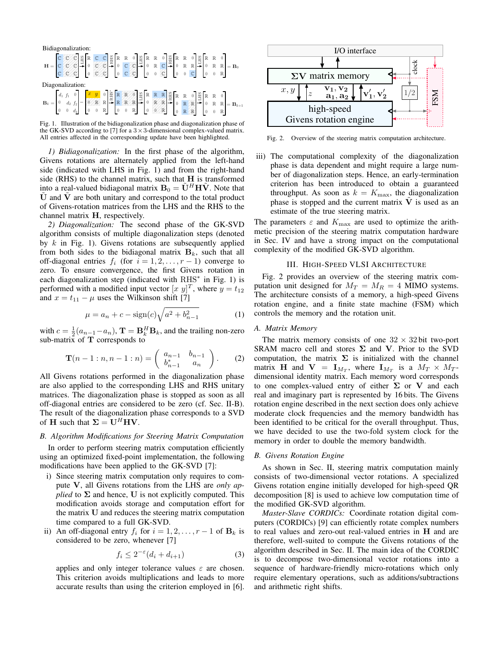| Bidiagonalization: |  |  |  |  |  |  |  |  |  |                                                                                                                                                                                                                                                                                                                                                                                                                                                        |
|--------------------|--|--|--|--|--|--|--|--|--|--------------------------------------------------------------------------------------------------------------------------------------------------------------------------------------------------------------------------------------------------------------------------------------------------------------------------------------------------------------------------------------------------------------------------------------------------------|
|                    |  |  |  |  |  |  |  |  |  | $\mathbf{H} = \begin{bmatrix} \mathbf{C} & \mathbf{C} & \mathbf{C} \\ \mathbf{C} & \mathbf{C} & \mathbf{C} \\ \mathbf{C} & \mathbf{C} & \mathbf{C} \end{bmatrix} \begin{bmatrix} \mathbf{R} & \mathbf{C} & \mathbf{C} \\ \mathbf{R} & \mathbf{R} & \mathbf{C} \\ \mathbf{C} & \mathbf{C} & \mathbf{C} \end{bmatrix} \begin{bmatrix} \mathbf{R} & \mathbf{R} & \mathbf{0} \\ \mathbf{C} & \mathbf{C} & \mathbf{C} \\ \mathbf{0} & \mathbf{C} & \mathbf$ |
| Diagonalization:   |  |  |  |  |  |  |  |  |  |                                                                                                                                                                                                                                                                                                                                                                                                                                                        |
|                    |  |  |  |  |  |  |  |  |  | $\mathbf{B}_k = \begin{bmatrix} d_1 & f_1 & 0 \\ 0 & d_2 & f_2 \\ 0 & 0 & d_3 \end{bmatrix} = \begin{bmatrix} \mathbf{Z} & \mathbf{y} & 0 \\ 0 & \mathbb{R} & \mathbb{R} & \mathbb{R} & \mathbb{R} \\ 0 & 0 & \mathbb{R} & \mathbb{R} & \mathbb{R} \end{bmatrix} \begin{bmatrix} \frac{V}{22} & \mathbb{R} & \mathbb{R} & \mathbb{R} & \mathbb{R} \\ \mathbb{R} & \mathbb{R} & \mathbb{R} & \mathbb{R} & \mathbb{R} \\ \mathbb{$                       |

Fig. 1. Illustration of the bidiagonalization phase and diagonalization phase of the GK-SVD according to [7] for a  $3 \times 3$ -dimensional complex-valued matrix. All entries affected in the corresponding update have been highlighted.

*1) Bidiagonalization:* In the first phase of the algorithm, Givens rotations are alternately applied from the left-hand side (indicated with LHS in Fig. 1) and from the right-hand side (RHS) to the channel matrix, such that  $H$  is transformed into a real-valued bidiagonal matrix  $\mathbf{B}_0 = \tilde{\mathbf{U}}^H \mathbf{H} \tilde{\mathbf{V}}$ . Note that  $\dot{\mathbf{U}}$  and  $\dot{\mathbf{V}}$  are both unitary and correspond to the total product of Givens-rotation matrices from the LHS and the RHS to the channel matrix H, respectively.

*2) Diagonalization:* The second phase of the GK-SVD algorithm consists of multiple diagonalization steps (denoted by  $k$  in Fig. 1). Givens rotations are subsequently applied from both sides to the bidiagonal matrix  $B_k$ , such that all off-diagonal entries  $f_i$  (for  $i = 1, 2, \ldots, r - 1$ ) converge to zero. To ensure convergence, the first Givens rotation in each diagonalization step (indicated with RHS<sup>\*</sup> in Fig. 1) is performed with a modified input vector  $[x \ y]^T$ , where  $y = t_{12}$ and  $x = t_{11} - \mu$  uses the Wilkinson shift [7]

$$
\mu = a_n + c - \text{sign}(c)\sqrt{a^2 + b_{n-1}^2} \tag{1}
$$

with  $c = \frac{1}{2}(a_{n-1}-a_n)$ ,  $\mathbf{T} = \mathbf{B}_k^H \mathbf{B}_k$ , and the trailing non-zero sub-matrix of T corresponds to

$$
\mathbf{T}(n-1:n,n-1:n) = \begin{pmatrix} a_{n-1} & b_{n-1} \\ b_{n-1}^* & a_n \end{pmatrix}.
$$
 (2)

All Givens rotations performed in the diagonalization phase are also applied to the corresponding LHS and RHS unitary matrices. The diagonalization phase is stopped as soon as all off-diagonal entries are considered to be zero (cf. Sec. II-B). The result of the diagonalization phase corresponds to a SVD of **H** such that  $\Sigma = U^H H V$ .

#### *B. Algorithm Modifications for Steering Matrix Computation*

In order to perform steering matrix computation efficiently using an optimized fixed-point implementation, the following modifications have been applied to the GK-SVD [7]:

- i) Since steering matrix computation only requires to compute V, all Givens rotations from the LHS are *only applied* to  $\Sigma$  and hence, U is not explicitly computed. This modification avoids storage and computation effort for the matrix U and reduces the steering matrix computation time compared to a full GK-SVD.
- ii) An off-diagonal entry  $f_i$  for  $i = 1, 2, \dots, r 1$  of  $\mathbf{B}_k$  is considered to be zero, whenever [7]

$$
f_i \le 2^{-\varepsilon} (d_i + d_{i+1}) \tag{3}
$$

applies and only integer tolerance values  $\varepsilon$  are chosen. This criterion avoids multiplications and leads to more accurate results than using the criterion employed in [6].



Fig. 2. Overview of the steering matrix computation architecture.

iii) The computational complexity of the diagonalization phase is data dependent and might require a large number of diagonalization steps. Hence, an early-termination criterion has been introduced to obtain a guaranteed throughput. As soon as  $k = K_{\text{max}}$ , the diagonalization phase is stopped and the current matrix  $\tilde{V}$  is used as an estimate of the true steering matrix.

The parameters  $\varepsilon$  and  $K_{\text{max}}$  are used to optimize the arithmetic precision of the steering matrix computation hardware in Sec. IV and have a strong impact on the computational complexity of the modified GK-SVD algorithm.

# III. HIGH-SPEED VLSI ARCHITECTURE

Fig. 2 provides an overview of the steering matrix computation unit designed for  $M_T = M_R = 4$  MIMO systems. The architecture consists of a memory, a high-speed Givens rotation engine, and a finite state machine (FSM) which controls the memory and the rotation unit.

#### *A. Matrix Memory*

The matrix memory consists of one  $32 \times 32$  bit two-port SRAM macro cell and stores  $\Sigma$  and V. Prior to the SVD computation, the matrix  $\Sigma$  is initialized with the channel matrix **H** and **V** =  $\mathbf{I}_{M_T}$ , where  $\mathbf{I}_{M_T}$  is a  $M_T \times M_T$ dimensional identity matrix. Each memory word corresponds to one complex-valued entry of either  $\Sigma$  or V and each real and imaginary part is represented by 16 bits. The Givens rotation engine described in the next section does only achieve moderate clock frequencies and the memory bandwidth has been identified to be critical for the overall throughput. Thus, we have decided to use the two-fold system clock for the memory in order to double the memory bandwidth.

# *B. Givens Rotation Engine*

As shown in Sec. II, steering matrix computation mainly consists of two-dimensional vector rotations. A specialized Givens rotation engine initially developed for high-speed QR decomposition [8] is used to achieve low computation time of the modified GK-SVD algorithm.

*Master-Slave CORDICs:* Coordinate rotation digital computers (CORDICs) [9] can efficiently rotate complex numbers to real values and zero-out real-valued entries in H and are therefore, well-suited to compute the Givens rotations of the algorithm described in Sec. II. The main idea of the CORDIC is to decompose two-dimensional vector rotations into a sequence of hardware-friendly micro-rotations which only require elementary operations, such as additions/subtractions and arithmetic right shifts.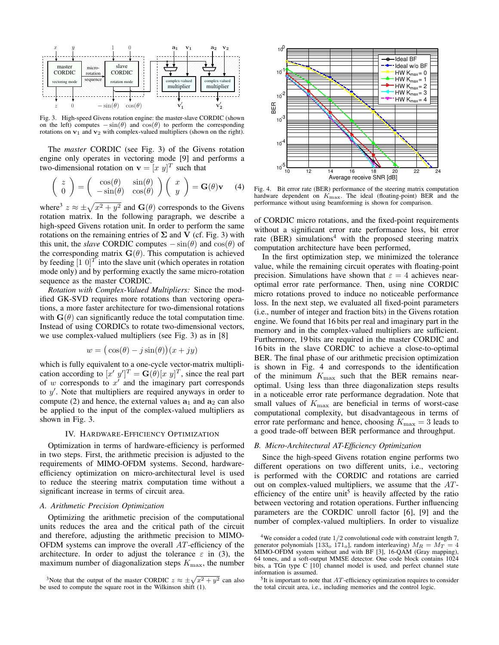

Fig. 3. High-speed Givens rotation engine: the master-slave CORDIC (shown on the left) computes  $-\sin(\theta)$  and  $\cos(\theta)$  to perform the corresponding rotations on  $v_1$  and  $v_2$  with complex-valued multipliers (shown on the right).

The *master* CORDIC (see Fig. 3) of the Givens rotation engine only operates in vectoring mode [9] and performs a two-dimensional rotation on  $\mathbf{v} = [x \ y]^T$  such that

$$
\begin{pmatrix} z \\ 0 \end{pmatrix} = \begin{pmatrix} \cos(\theta) & \sin(\theta) \\ -\sin(\theta) & \cos(\theta) \end{pmatrix} \begin{pmatrix} x \\ y \end{pmatrix} = G(\theta)\mathbf{v} \quad (4)
$$

where<sup>3</sup>  $z \approx \pm \sqrt{x^2 + y^2}$  and  $\mathbf{G}(\theta)$  corresponds to the Givens rotation matrix. In the following paragraph, we describe a high-speed Givens rotation unit. In order to perform the same rotations on the remaining entries of  $\Sigma$  and V (cf. Fig. 3) with this unit, the *slave* CORDIC computes  $-\sin(\theta)$  and  $\cos(\theta)$  of the corresponding matrix  $\mathbf{G}(\theta)$ . This computation is achieved by feeding  $\left[1\ 0\right]^T$  into the slave unit (which operates in rotation mode only) and by performing exactly the same micro-rotation sequence as the master CORDIC.

*Rotation with Complex-Valued Multipliers:* Since the modified GK-SVD requires more rotations than vectoring operations, a more faster architecture for two-dimensional rotations with  $\mathbf{G}(\theta)$  can significantly reduce the total computation time. Instead of using CORDICs to rotate two-dimensional vectors, we use complex-valued multipliers (see Fig. 3) as in [8]

$$
w = (\cos(\theta) - j\sin(\theta))(x + jy)
$$

which is fully equivalent to a one-cycle vector-matrix multiplication according to  $[x' y']^T = G(\theta)[x y]^T$ , since the real part of  $w$  corresponds to  $x'$  and the imaginary part corresponds to  $y'$ . Note that multipliers are required anyways in order to compute (2) and hence, the external values  $a_1$  and  $a_2$  can also be applied to the input of the complex-valued multipliers as shown in Fig. 3.

#### IV. HARDWARE-EFFICIENCY OPTIMIZATION

Optimization in terms of hardware-efficiency is performed in two steps. First, the arithmetic precision is adjusted to the requirements of MIMO-OFDM systems. Second, hardwareefficiency optimization on micro-architectural level is used to reduce the steering matrix computation time without a significant increase in terms of circuit area.

# *A. Arithmetic Precision Optimization*

Optimizing the arithmetic precision of the computational units reduces the area and the critical path of the circuit and therefore, adjusting the arithmetic precision to MIMO-OFDM systems can improve the overall AT-efficiency of the architecture. In order to adjust the tolerance  $\varepsilon$  in (3), the maximum number of diagonalization steps  $K_{\text{max}}$ , the number



Fig. 4. Bit error rate (BER) performance of the steering matrix computation hardware dependent on  $K_{\text{max}}$ . The ideal (floating-point) BER and the performance without using beamforming is shown for comparison.

of CORDIC micro rotations, and the fixed-point requirements without a significant error rate performance loss, bit error rate (BER) simulations<sup>4</sup> with the proposed steering matrix computation architecture have been performed,

In the first optimization step, we minimized the tolerance value, while the remaining circuit operates with floating-point precision. Simulations have shown that  $\varepsilon = 4$  achieves nearoptimal error rate performance. Then, using nine CORDIC micro rotations proved to induce no noticeable performance loss. In the next step, we evaluated all fixed-point parameters (i.e., number of integer and fraction bits) in the Givens rotation engine. We found that 16 bits per real and imaginary part in the memory and in the complex-valued multipliers are sufficient. Furthermore, 19 bits are required in the master CORDIC and 16 bits in the slave CORDIC to achieve a close-to-optimal BER. The final phase of our arithmetic precision optimization is shown in Fig. 4 and corresponds to the identification of the minimum  $K_{\text{max}}$  such that the BER remains nearoptimal. Using less than three diagonalization steps results in a noticeable error rate performance degradation. Note that small values of  $K_{\text{max}}$  are beneficial in terms of worst-case computational complexity, but disadvantageous in terms of error rate performanc and hence, choosing  $K_{\text{max}} = 3$  leads to a good trade-off between BER performance and throughput.

# *B. Micro-Architectural AT-Efficiency Optimization*

Since the high-speed Givens rotation engine performs two different operations on two different units, i.e., vectoring is performed with the CORDIC and rotations are carried out on complex-valued multipliers, we assume that the ATefficiency of the entire unit<sup>5</sup> is heavily affected by the ratio between vectoring and rotation operations. Further influencing parameters are the CORDIC unroll factor [6], [9] and the number of complex-valued multipliers. In order to visualize

<sup>&</sup>lt;sup>3</sup>Note that the output of the master CORDIC  $z \approx \pm \sqrt{x^2 + y^2}$  can also be used to compute the square root in the Wilkinson shift (1).

<sup>&</sup>lt;sup>4</sup>We consider a coded (rate  $1/2$  convolutional code with constraint length 7, generator polynomials [133<sub>o</sub> 171<sub>o</sub>], random interleaving)  $M_R = M_T = 4$ MIMO-OFDM system without and with BF [3], 16-QAM (Gray mapping), 64 tones, and a soft-output MMSE detector. One code block contains 1024 bits, a TGn type C [10] channel model is used, and perfect channel state information is assumed.

 $5$ It is important to note that  $AT$ -efficiency optimization requires to consider the total circuit area, i.e., including memories and the control logic.